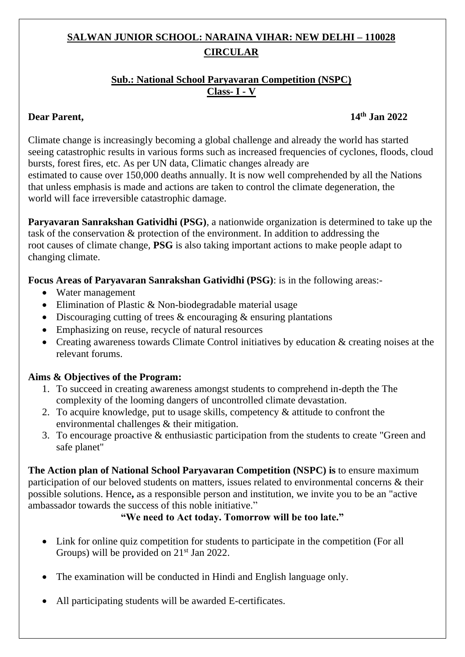# **SALWAN JUNIOR SCHOOL: NARAINA VIHAR: NEW DELHI – 110028 CIRCULAR**

#### **Sub.: National School Paryavaran Competition (NSPC) Class- I - V**

#### **Dear Parent**.

### **th Jan 2022**

Climate change is increasingly becoming a global challenge and already the world has started seeing catastrophic results in various forms such as increased frequencies of cyclones, floods, cloud bursts, forest fires, etc. As per UN data, Climatic changes already are

estimated to cause over 150,000 deaths annually. It is now well comprehended by all the Nations that unless emphasis is made and actions are taken to control the climate degeneration, the world will face irreversible catastrophic damage.

**Paryavaran Sanrakshan Gatividhi (PSG)**, a nationwide organization is determined to take up the task of the conservation & protection of the environment. In addition to addressing the root causes of climate change, **PSG** is also taking important actions to make people adapt to changing climate.

**Focus Areas of Paryavaran Sanrakshan Gatividhi (PSG)**: is in the following areas:-

- Water management
- Elimination of Plastic & Non-biodegradable material usage
- Discouraging cutting of trees  $\&$  encouraging  $\&$  ensuring plantations
- Emphasizing on reuse, recycle of natural resources
- Creating awareness towards Climate Control initiatives by education & creating noises at the relevant forums.

## **Aims & Objectives of the Program:**

- 1. To succeed in creating awareness amongst students to comprehend in-depth the The complexity of the looming dangers of uncontrolled climate devastation.
- 2. To acquire knowledge, put to usage skills, competency & attitude to confront the environmental challenges & their mitigation.
- 3. To encourage proactive & enthusiastic participation from the students to create "Green and safe planet"

**The Action plan of National School Paryavaran Competition (NSPC) is** to ensure maximum participation of our beloved students on matters, issues related to environmental concerns & their possible solutions. Hence**,** as a responsible person and institution, we invite you to be an "active ambassador towards the success of this noble initiative."

## **"We need to Act today. Tomorrow will be too late."**

- Link for online quiz competition for students to participate in the competition (For all Groups) will be provided on 21<sup>st</sup> Jan 2022.
- The examination will be conducted in Hindi and English language only.
- All participating students will be awarded E-certificates.